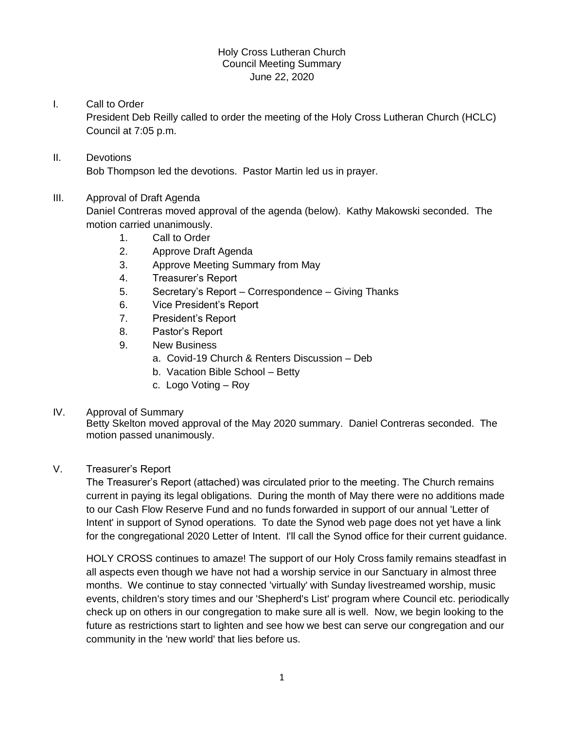## Holy Cross Lutheran Church Council Meeting Summary June 22, 2020

# I. Call to Order

President Deb Reilly called to order the meeting of the Holy Cross Lutheran Church (HCLC) Council at 7:05 p.m.

# II. Devotions Bob Thompson led the devotions. Pastor Martin led us in prayer.

# III. Approval of Draft Agenda

Daniel Contreras moved approval of the agenda (below). Kathy Makowski seconded. The motion carried unanimously.

- 1. Call to Order
- 2. Approve Draft Agenda
- 3. Approve Meeting Summary from May
- 4. Treasurer's Report
- 5. Secretary's Report Correspondence Giving Thanks
- 6. Vice President's Report
- 7. President's Report
- 8. Pastor's Report
- 9. New Business
	- a. Covid-19 Church & Renters Discussion Deb
	- b. Vacation Bible School Betty
	- c. Logo Voting Roy

### IV. Approval of Summary

Betty Skelton moved approval of the May 2020 summary. Daniel Contreras seconded. The motion passed unanimously.

### V. Treasurer's Report

The Treasurer's Report (attached) was circulated prior to the meeting. The Church remains current in paying its legal obligations. During the month of May there were no additions made to our Cash Flow Reserve Fund and no funds forwarded in support of our annual 'Letter of Intent' in support of Synod operations. To date the Synod web page does not yet have a link for the congregational 2020 Letter of Intent. I'll call the Synod office for their current guidance.

HOLY CROSS continues to amaze! The support of our Holy Cross family remains steadfast in all aspects even though we have not had a worship service in our Sanctuary in almost three months. We continue to stay connected 'virtually' with Sunday livestreamed worship, music events, children's story times and our 'Shepherd's List' program where Council etc. periodically check up on others in our congregation to make sure all is well. Now, we begin looking to the future as restrictions start to lighten and see how we best can serve our congregation and our community in the 'new world' that lies before us.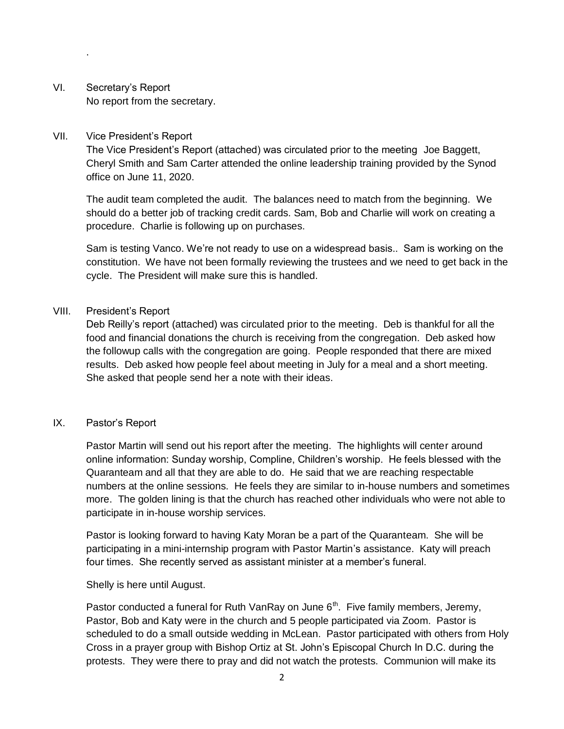VI. Secretary's Report No report from the secretary.

#### VII. Vice President's Report

.

The Vice President's Report (attached) was circulated prior to the meeting Joe Baggett, Cheryl Smith and Sam Carter attended the online leadership training provided by the Synod office on June 11, 2020.

The audit team completed the audit. The balances need to match from the beginning. We should do a better job of tracking credit cards. Sam, Bob and Charlie will work on creating a procedure. Charlie is following up on purchases.

Sam is testing Vanco. We're not ready to use on a widespread basis.. Sam is working on the constitution. We have not been formally reviewing the trustees and we need to get back in the cycle. The President will make sure this is handled.

### VIII. President's Report

Deb Reilly's report (attached) was circulated prior to the meeting. Deb is thankful for all the food and financial donations the church is receiving from the congregation. Deb asked how the followup calls with the congregation are going. People responded that there are mixed results. Deb asked how people feel about meeting in July for a meal and a short meeting. She asked that people send her a note with their ideas.

## IX. Pastor's Report

Pastor Martin will send out his report after the meeting. The highlights will center around online information: Sunday worship, Compline, Children's worship. He feels blessed with the Quaranteam and all that they are able to do. He said that we are reaching respectable numbers at the online sessions. He feels they are similar to in-house numbers and sometimes more. The golden lining is that the church has reached other individuals who were not able to participate in in-house worship services.

Pastor is looking forward to having Katy Moran be a part of the Quaranteam. She will be participating in a mini-internship program with Pastor Martin's assistance. Katy will preach four times. She recently served as assistant minister at a member's funeral.

### Shelly is here until August.

Pastor conducted a funeral for Ruth VanRay on June  $6<sup>th</sup>$ . Five family members, Jeremy, Pastor, Bob and Katy were in the church and 5 people participated via Zoom. Pastor is scheduled to do a small outside wedding in McLean. Pastor participated with others from Holy Cross in a prayer group with Bishop Ortiz at St. John's Episcopal Church In D.C. during the protests. They were there to pray and did not watch the protests. Communion will make its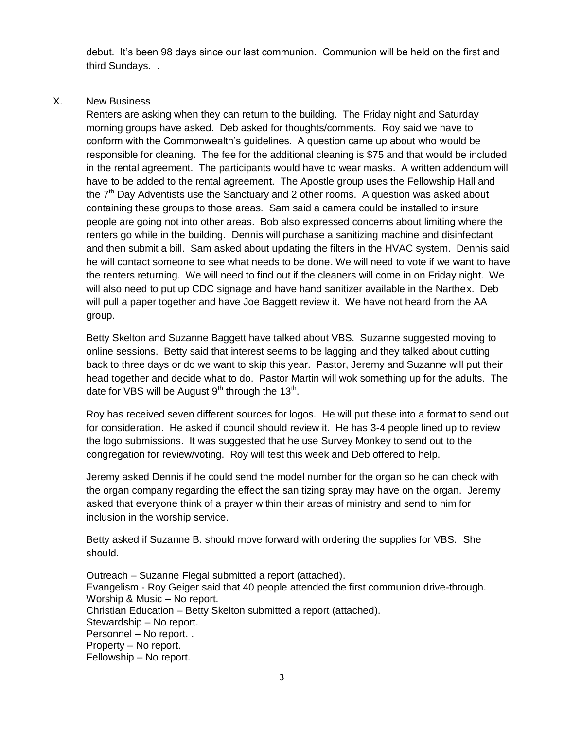debut. It's been 98 days since our last communion. Communion will be held on the first and third Sundays. .

# X. New Business

Renters are asking when they can return to the building. The Friday night and Saturday morning groups have asked. Deb asked for thoughts/comments. Roy said we have to conform with the Commonwealth's guidelines. A question came up about who would be responsible for cleaning. The fee for the additional cleaning is \$75 and that would be included in the rental agreement. The participants would have to wear masks. A written addendum will have to be added to the rental agreement. The Apostle group uses the Fellowship Hall and the  $7<sup>th</sup>$  Day Adventists use the Sanctuary and 2 other rooms. A question was asked about containing these groups to those areas. Sam said a camera could be installed to insure people are going not into other areas. Bob also expressed concerns about limiting where the renters go while in the building. Dennis will purchase a sanitizing machine and disinfectant and then submit a bill. Sam asked about updating the filters in the HVAC system. Dennis said he will contact someone to see what needs to be done. We will need to vote if we want to have the renters returning. We will need to find out if the cleaners will come in on Friday night. We will also need to put up CDC signage and have hand sanitizer available in the Narthex. Deb will pull a paper together and have Joe Baggett review it. We have not heard from the AA group.

Betty Skelton and Suzanne Baggett have talked about VBS. Suzanne suggested moving to online sessions. Betty said that interest seems to be lagging and they talked about cutting back to three days or do we want to skip this year. Pastor, Jeremy and Suzanne will put their head together and decide what to do. Pastor Martin will wok something up for the adults. The date for VBS will be August  $9<sup>th</sup>$  through the 13<sup>th</sup>.

Roy has received seven different sources for logos. He will put these into a format to send out for consideration. He asked if council should review it. He has 3-4 people lined up to review the logo submissions. It was suggested that he use Survey Monkey to send out to the congregation for review/voting. Roy will test this week and Deb offered to help.

Jeremy asked Dennis if he could send the model number for the organ so he can check with the organ company regarding the effect the sanitizing spray may have on the organ. Jeremy asked that everyone think of a prayer within their areas of ministry and send to him for inclusion in the worship service.

Betty asked if Suzanne B. should move forward with ordering the supplies for VBS. She should.

Outreach – Suzanne Flegal submitted a report (attached). Evangelism - Roy Geiger said that 40 people attended the first communion drive-through. Worship & Music – No report. Christian Education – Betty Skelton submitted a report (attached). Stewardship – No report. Personnel – No report. . Property – No report. Fellowship – No report.